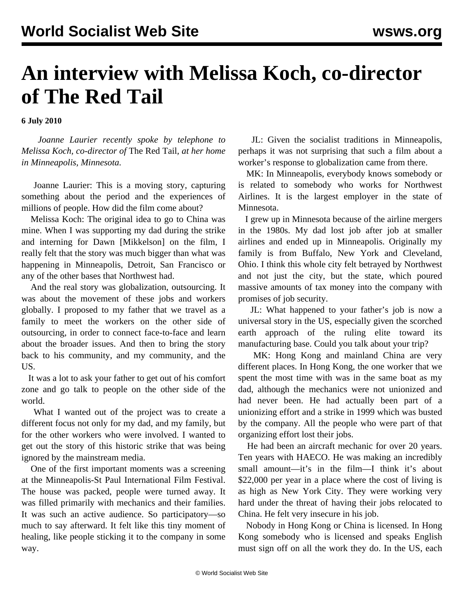## **An interview with Melissa Koch, co-director of The Red Tail**

**6 July 2010**

 *Joanne Laurier recently spoke by telephone to Melissa Koch, co-director of* The Red Tail*, at her home in Minneapolis, Minnesota.*

 Joanne Laurier: This is a moving story, capturing something about the period and the experiences of millions of people. How did the film come about?

 Melissa Koch: The original idea to go to China was mine. When I was supporting my dad during the strike and interning for Dawn [Mikkelson] on the film, I really felt that the story was much bigger than what was happening in Minneapolis, Detroit, San Francisco or any of the other bases that Northwest had.

 And the real story was globalization, outsourcing. It was about the movement of these jobs and workers globally. I proposed to my father that we travel as a family to meet the workers on the other side of outsourcing, in order to connect face-to-face and learn about the broader issues. And then to bring the story back to his community, and my community, and the US.

 It was a lot to ask your father to get out of his comfort zone and go talk to people on the other side of the world.

 What I wanted out of the project was to create a different focus not only for my dad, and my family, but for the other workers who were involved. I wanted to get out the story of this historic strike that was being ignored by the mainstream media.

 One of the first important moments was a screening at the Minneapolis-St Paul International Film Festival. The house was packed, people were turned away. It was filled primarily with mechanics and their families. It was such an active audience. So participatory—so much to say afterward. It felt like this tiny moment of healing, like people sticking it to the company in some way.

 JL: Given the socialist traditions in Minneapolis, perhaps it was not surprising that such a film about a worker's response to globalization came from there.

 MK: In Minneapolis, everybody knows somebody or is related to somebody who works for Northwest Airlines. It is the largest employer in the state of Minnesota.

 I grew up in Minnesota because of the airline mergers in the 1980s. My dad lost job after job at smaller airlines and ended up in Minneapolis. Originally my family is from Buffalo, New York and Cleveland, Ohio. I think this whole city felt betrayed by Northwest and not just the city, but the state, which poured massive amounts of tax money into the company with promises of job security.

 JL: What happened to your father's job is now a universal story in the US, especially given the scorched earth approach of the ruling elite toward its manufacturing base. Could you talk about your trip?

 MK: Hong Kong and mainland China are very different places. In Hong Kong, the one worker that we spent the most time with was in the same boat as my dad, although the mechanics were not unionized and had never been. He had actually been part of a unionizing effort and a strike in 1999 which was busted by the company. All the people who were part of that organizing effort lost their jobs.

 He had been an aircraft mechanic for over 20 years. Ten years with HAECO. He was making an incredibly small amount—it's in the film—I think it's about \$22,000 per year in a place where the cost of living is as high as New York City. They were working very hard under the threat of having their jobs relocated to China. He felt very insecure in his job.

 Nobody in Hong Kong or China is licensed. In Hong Kong somebody who is licensed and speaks English must sign off on all the work they do. In the US, each